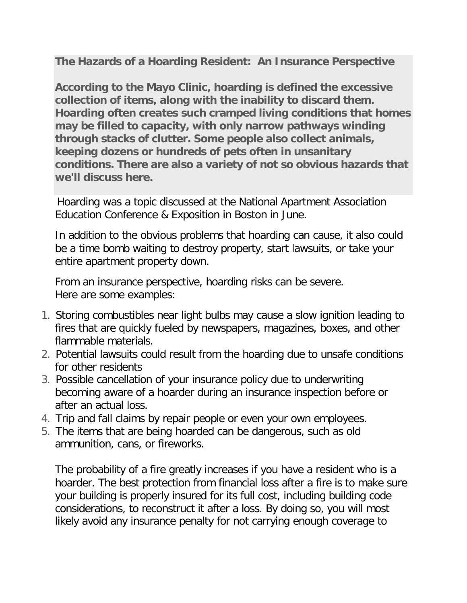**The Hazards of a Hoarding Resident: An Insurance Perspective**

**According to the Mayo Clinic, hoarding is defined the excessive collection of items, along with the inability to discard them. Hoarding often creates such cramped living conditions that homes may be filled to capacity, with only narrow pathways winding through stacks of clutter. Some people also collect animals, keeping dozens or hundreds of pets often in unsanitary conditions. There are also a variety of not so obvious hazards that we'll discuss here.**

Hoarding was a topic discussed at the National Apartment Association Education Conference & Exposition in Boston in June.

In addition to the obvious problems that hoarding can cause, it also could be a time bomb waiting to destroy property, start lawsuits, or take your entire apartment property down.

From an insurance perspective, hoarding risks can be severe. Here are some examples:

- 1. Storing combustibles near light bulbs may cause a slow ignition leading to fires that are quickly fueled by newspapers, magazines, boxes, and other flammable materials.
- 2. Potential lawsuits could result from the hoarding due to unsafe conditions for other residents
- 3. Possible cancellation of your insurance policy due to underwriting becoming aware of a hoarder during an insurance inspection before or after an actual loss.
- 4. Trip and fall claims by repair people or even your own employees.
- 5. The items that are being hoarded can be dangerous, such as old ammunition, cans, or fireworks.

The probability of a fire greatly increases if you have a resident who is a hoarder. The best protection from financial loss after a fire is to make sure your building is properly insured for its full cost, including building code considerations, to reconstruct it after a loss. By doing so, you will most likely avoid any insurance penalty for not carrying enough coverage to